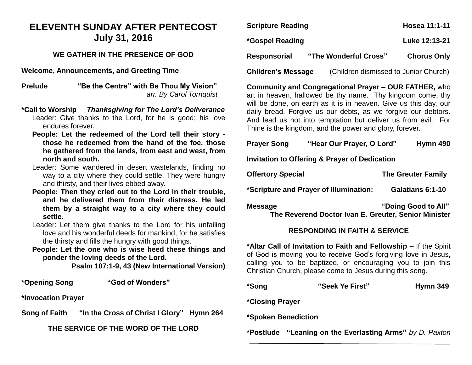## **ELEVENTH SUNDAY AFTER PENTECOST July 31, 2016**

### **WE GATHER IN THE PRESENCE OF GOD**

**Welcome, Announcements, and Greeting Time** 

**Prelude "Be the Centre" with Be Thou My Vision"** *arr. By Carol Tornquist*

- **\*Call to Worship** *Thanksgiving for The Lord's Deliverance*  Leader: Give thanks to the Lord, for he is good; his love endures forever.
	- **People: Let the redeemed of the Lord tell their story those he redeemed from the hand of the foe, those he gathered from the lands, from east and west, from north and south.**
	- Leader: Some wandered in desert wastelands, finding no way to a city where they could settle. They were hungry and thirsty, and their lives ebbed away.
	- **People: Then they cried out to the Lord in their trouble, and he delivered them from their distress. He led them by a straight way to a city where they could settle.**
	- Leader: Let them give thanks to the Lord for his unfailing love and his wonderful deeds for mankind, for he satisfies the thirsty and fills the hungry with good things.
	- **People: Let the one who is wise heed these things and ponder the loving deeds of the Lord.**

**Psalm 107:1-9, 43 (New International Version)**

**\*Opening Song "God of Wonders"**

**\*Invocation Prayer** 

**Song of Faith "In the Cross of Christ I Glory" Hymn 264**

**THE SERVICE OF THE WORD OF THE LORD**

| <b>Scripture Reading</b>  |                                       | Hosea 11:1-11      |
|---------------------------|---------------------------------------|--------------------|
| *Gospel Reading           |                                       | Luke 12:13-21      |
| Responsorial              | "The Wonderful Cross"                 | <b>Chorus Only</b> |
| <b>Children's Message</b> | (Children dismissed to Junior Church) |                    |

**Community and Congregational Prayer – OUR FATHER,** who art in heaven, hallowed be thy name. Thy kingdom come, thy will be done, on earth as it is in heaven. Give us this day, our daily bread. Forgive us our debts, as we forgive our debtors. And lead us not into temptation but deliver us from evil. For Thine is the kingdom, and the power and glory, forever.

| <b>Prayer Song</b>                                                                            | "Hear Our Prayer, O Lord"                                                                                                          | Hymn 490                  |  |  |
|-----------------------------------------------------------------------------------------------|------------------------------------------------------------------------------------------------------------------------------------|---------------------------|--|--|
| <b>Invitation to Offering &amp; Prayer of Dedication</b>                                      |                                                                                                                                    |                           |  |  |
| <b>Offertory Special</b>                                                                      |                                                                                                                                    | <b>The Greuter Family</b> |  |  |
|                                                                                               | *Scripture and Prayer of Illumination:                                                                                             | Galatians 6:1-10          |  |  |
| "Doing Good to All"<br><b>Message</b><br>The Reverend Doctor Ivan E. Greuter, Senior Minister |                                                                                                                                    |                           |  |  |
| <b>RESPONDING IN FAITH &amp; SERVICE</b>                                                      |                                                                                                                                    |                           |  |  |
|                                                                                               | *Altar Call of Invitation to Faith and Fellowship – If the Spirit<br>of God is moving you to receive God's forgiving love in Jesus |                           |  |  |

of God is moving you to receive God's forgiving love in Jesus, calling you to be baptized, or encouraging you to join this Christian Church, please come to Jesus during this song.

| *Song               | "Seek Ye First" | Hymn 349 |
|---------------------|-----------------|----------|
| *Closing Prayer     |                 |          |
| *Spoken Benediction |                 |          |

**\*Postlude "Leaning on the Everlasting Arms"** *by D. Paxton*